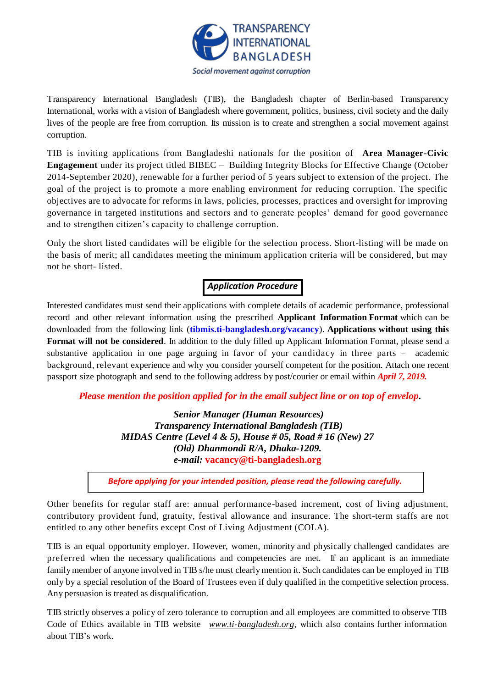

Transparency International Bangladesh (TIB), the Bangladesh chapter of Berlin-based Transparency International, works with a vision of Bangladesh where government, politics, business, civil society and the daily lives of the people are free from corruption. Its mission is to create and strengthen a social movement against corruption.

TIB is inviting applications from Bangladeshi nationals for the position of **Area Manager-Civic Engagement** under its project titled BIBEC – Building Integrity Blocks for Effective Change (October 2014-September 2020), renewable for a further period of 5 years subject to extension of the project. The goal of the project is to promote a more enabling environment for reducing corruption. The specific objectives are to advocate for reforms in laws, policies, processes, practices and oversight for improving governance in targeted institutions and sectors and to generate peoples' demand for good governance and to strengthen citizen's capacity to challenge corruption.

Only the short listed candidates will be eligible for the selection process. Short-listing will be made on the basis of merit; all candidates meeting the minimum application criteria will be considered, but may not be short- listed.

# *Application Procedure*

Interested candidates must send their applications with complete details of academic performance, professional record and other relevant information using the prescribed **Applicant Information Format** which can be downloaded from the following link (**[tibmis.ti-bangladesh.org/vacancy](http://www.ti-bangladesh.org/vacancy)**). **Applications without using this Format will not be considered**. In addition to the duly filled up Applicant Information Format, please send a substantive application in one page arguing in favor of your candidacy in three parts – academic background, relevant experience and why you consider yourself competent for the position. Attach one recent passport size photograph and send to the following address by post/courier or email within *April 7, 2019.*

*Please mention the position applied for in the email subject line or on top of envelop***.**

*Senior Manager (Human Resources) Transparency International Bangladesh (TIB) MIDAS Centre (Level 4 & 5), House # 05, Road # 16 (New) 27 (Old) Dhanmondi R/A, Dhaka-1209. e-mail:* **vacancy@ti-bangladesh.org**

*Before applying for your intended position, please read the following carefully.*

Other benefits for regular staff are: annual performance-based increment, cost of living adjustment, contributory provident fund, gratuity, festival allowance and insurance. The short-term staffs are not entitled to any other benefits except Cost of Living Adjustment (COLA).

TIB is an equal opportunity employer. However, women, minority and physically challenged candidates are preferred when the necessary qualifications and competencies are met. If an applicant is an immediate family member of anyone involved in TIB s/he must clearly mention it. Such candidates can be employed in TIB only by a special resolution of the Board of Trustees even if duly qualified in the competitive selection process. Any persuasion is treated as disqualification.

TIB strictly observes a policy of zero tolerance to corruption and all employees are committed to observe TIB Code of Ethics available in TIB website *[www.ti-bangladesh.org](http://www.ti-bangladesh.org/)*, which also contains further information about TIB's work.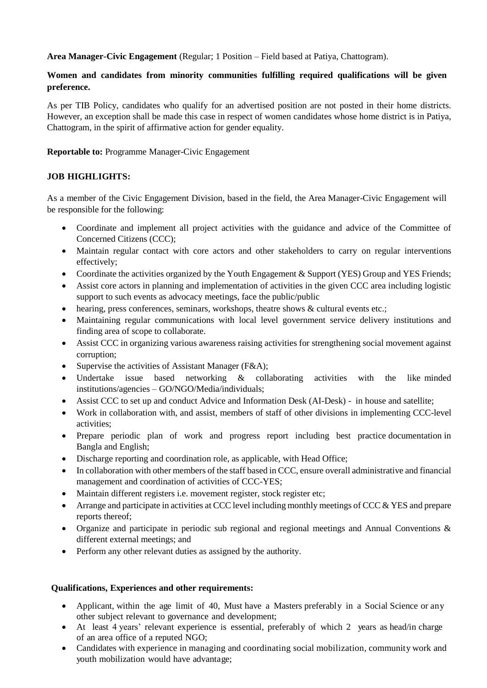**Area Manager-Civic Engagement** (Regular; 1 Position – Field based at Patiya, Chattogram).

## **Women and candidates from minority communities fulfilling required qualifications will be given preference.**

As per TIB Policy, candidates who qualify for an advertised position are not posted in their home districts. However, an exception shall be made this case in respect of women candidates whose home district is in Patiya, Chattogram, in the spirit of affirmative action for gender equality.

**Reportable to:** Programme Manager-Civic Engagement

### **JOB HIGHLIGHTS:**

As a member of the Civic Engagement Division, based in the field, the Area Manager-Civic Engagement will be responsible for the following:

- Coordinate and implement all project activities with the guidance and advice of the Committee of Concerned Citizens (CCC);
- Maintain regular contact with core actors and other stakeholders to carry on regular interventions effectively;
- Coordinate the activities organized by the Youth Engagement & Support (YES) Group and YES Friends;
- Assist core actors in planning and implementation of activities in the given CCC area including logistic support to such events as advocacy meetings, face the public/public
- hearing, press conferences, seminars, workshops, theatre shows & cultural events etc.;
- Maintaining regular communications with local level government service delivery institutions and finding area of scope to collaborate.
- Assist CCC in organizing various awareness raising activities for strengthening social movement against corruption;
- Supervise the activities of Assistant Manager (F&A);
- Undertake issue based networking & collaborating activities with the like minded institutions/agencies – GO/NGO/Media/individuals;
- Assist CCC to set up and conduct Advice and Information Desk (AI-Desk) in house and satellite;
- Work in collaboration with, and assist, members of staff of other divisions in implementing CCC-level activities;
- Prepare periodic plan of work and progress report including best practice documentation in Bangla and English;
- Discharge reporting and coordination role, as applicable, with Head Office;
- In collaboration with other members of the staff based in CCC, ensure overall administrative and financial management and coordination of activities of CCC-YES;
- Maintain different registers i.e. movement register, stock register etc;
- Arrange and participate in activities at CCC level including monthly meetings of CCC & YES and prepare reports thereof;
- Organize and participate in periodic sub regional and regional meetings and Annual Conventions & different external meetings; and
- Perform any other relevant duties as assigned by the authority.

### **Qualifications, Experiences and other requirements:**

- Applicant, within the age limit of 40, Must have a Masters preferably in a Social Science or any other subject relevant to governance and development;
- At least 4 years' relevant experience is essential, preferably of which 2 years as head/in charge of an area office of a reputed NGO;
- Candidates with experience in managing and coordinating social mobilization, community work and youth mobilization would have advantage;